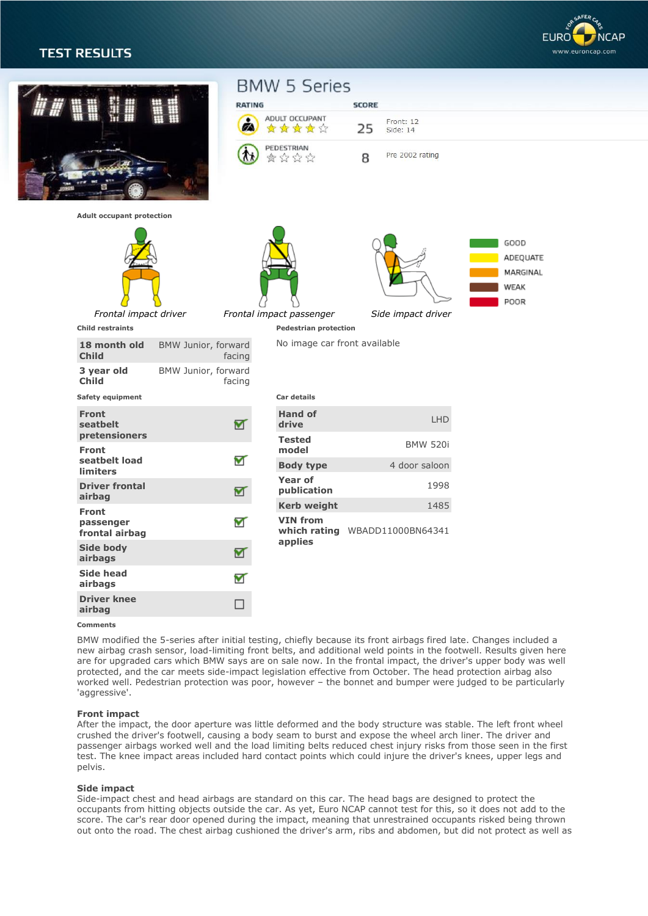# **TEST RESULTS**





#### **Comments**

BMW modified the 5-series after initial testing, chiefly because its front airbags fired late. Changes included a new airbag crash sensor, load-limiting front belts, and additional weld points in the footwell. Results given here are for upgraded cars which BMW says are on sale now. In the frontal impact, the driver's upper body was well protected, and the car meets side-impact legislation effective from October. The head protection airbag also worked well. Pedestrian protection was poor, however – the bonnet and bumper were judged to be particularly 'aggressive'.

#### **Front impact**

After the impact, the door aperture was little deformed and the body structure was stable. The left front wheel crushed the driver's footwell, causing a body seam to burst and expose the wheel arch liner. The driver and passenger airbags worked well and the load limiting belts reduced chest injury risks from those seen in the first test. The knee impact areas included hard contact points which could injure the driver's knees, upper legs and pelvis.

#### **Side impact**

Side-impact chest and head airbags are standard on this car. The head bags are designed to protect the occupants from hitting objects outside the car. As yet, Euro NCAP cannot test for this, so it does not add to the score. The car's rear door opened during the impact, meaning that unrestrained occupants risked being thrown out onto the road. The chest airbag cushioned the driver's arm, ribs and abdomen, but did not protect as well as